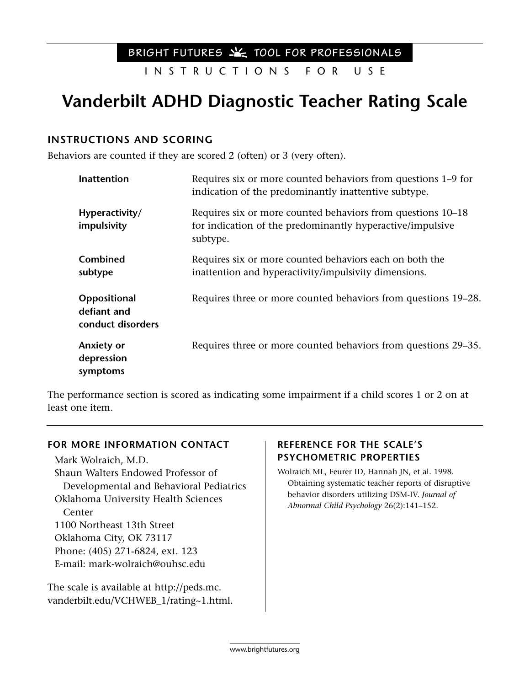### BRIGHT FUTURES  $X$  TOOL FOR PROFESSIONALS

INSTRUCTIONS FOR USE

# **Vanderbilt ADHD Diagnostic Teacher Rating Scale**

### **INSTRUCTIONS AND SCORING**

Behaviors are counted if they are scored 2 (often) or 3 (very often).

| Inattention                                      | Requires six or more counted behaviors from questions 1–9 for<br>indication of the predominantly inattentive subtype.                |
|--------------------------------------------------|--------------------------------------------------------------------------------------------------------------------------------------|
| Hyperactivity/<br>impulsivity                    | Requires six or more counted behaviors from questions 10–18<br>for indication of the predominantly hyperactive/impulsive<br>subtype. |
| Combined<br>subtype                              | Requires six or more counted behaviors each on both the<br>inattention and hyperactivity/impulsivity dimensions.                     |
| Oppositional<br>defiant and<br>conduct disorders | Requires three or more counted behaviors from questions 19–28.                                                                       |
| Anxiety or<br>depression<br>symptoms             | Requires three or more counted behaviors from questions 29–35.                                                                       |

The performance section is scored as indicating some impairment if a child scores 1 or 2 on at least one item.

#### **FOR MORE INFORMATION CONTACT**

Mark Wolraich, M.D. Shaun Walters Endowed Professor of Developmental and Behavioral Pediatrics Oklahoma University Health Sciences Center 1100 Northeast 13th Street Oklahoma City, OK 73117 Phone: (405) 271-6824, ext. 123 E-mail: mark-wolraich@ouhsc.edu

The scale is available at http://peds.mc. vanderbilt.edu/VCHWEB\_1/rating~1.html.

### **REFERENCE FOR THE SCALE'S PSYCHOMETRIC PROPERTIES**

Wolraich ML, Feurer ID, Hannah JN, et al. 1998. Obtaining systematic teacher reports of disruptive behavior disorders utilizing DSM-IV. *Journal of Abnormal Child Psychology* 26(2):141–152.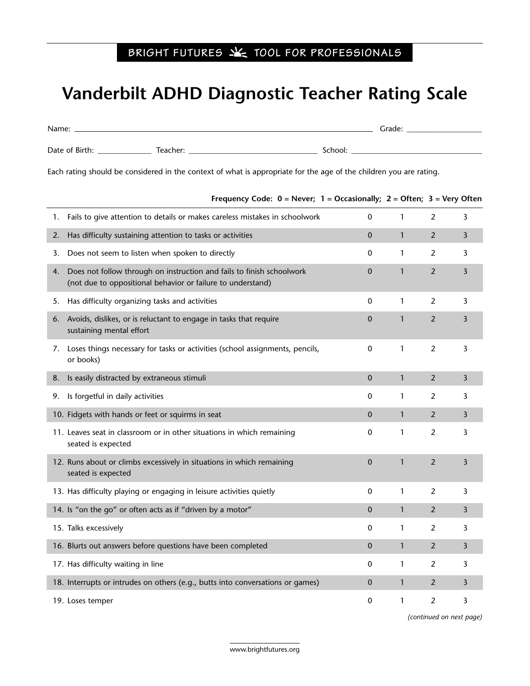## BRIGHT FUTURES **X** TOOL FOR PROFESSIONALS

## **Vanderbilt ADHD Diagnostic Teacher Rating Scale**

| Name:          |          |         | Grade: |
|----------------|----------|---------|--------|
| Date of Birth: | Teacher: | School: |        |

Each rating should be considered in the context of what is appropriate for the age of the children you are rating.

| 1. | Fails to give attention to details or makes careless mistakes in schoolwork                                                          | 0            | 1            | $\overline{2}$ | 3              |
|----|--------------------------------------------------------------------------------------------------------------------------------------|--------------|--------------|----------------|----------------|
| 2. | Has difficulty sustaining attention to tasks or activities                                                                           | $\mathbf{0}$ | $\mathbf{1}$ | $\overline{2}$ | 3              |
| 3. | Does not seem to listen when spoken to directly                                                                                      | 0            | 1            | 2              | 3              |
| 4. | Does not follow through on instruction and fails to finish schoolwork<br>(not due to oppositional behavior or failure to understand) | $\mathbf 0$  | $\mathbf{1}$ | $\overline{2}$ | 3              |
| 5. | Has difficulty organizing tasks and activities                                                                                       | $\pmb{0}$    | $\mathbf{1}$ | $\overline{2}$ | 3              |
| 6. | Avoids, dislikes, or is reluctant to engage in tasks that require<br>sustaining mental effort                                        | $\mathbf 0$  | $\mathbf{1}$ | $\overline{2}$ | $\overline{3}$ |
| 7. | Loses things necessary for tasks or activities (school assignments, pencils,<br>or books)                                            | $\mathbf 0$  | $\mathbf{1}$ | $\overline{2}$ | 3              |
| 8. | Is easily distracted by extraneous stimuli                                                                                           | $\mathbf{0}$ | $\mathbf{1}$ | $\overline{2}$ | 3              |
| 9. | Is forgetful in daily activities                                                                                                     | 0            | 1            | $\overline{2}$ | 3              |
|    | 10. Fidgets with hands or feet or squirms in seat                                                                                    | 0            | $\mathbf{1}$ | 2              | 3              |
|    | 11. Leaves seat in classroom or in other situations in which remaining<br>seated is expected                                         | 0            | $\mathbf{1}$ | $\overline{2}$ | 3              |
|    | 12. Runs about or climbs excessively in situations in which remaining<br>seated is expected                                          | $\mathbf 0$  | $\mathbf{1}$ | $\overline{2}$ | $\overline{3}$ |
|    | 13. Has difficulty playing or engaging in leisure activities quietly                                                                 | 0            | $\mathbf{1}$ | $\overline{2}$ | 3              |
|    | 14. Is "on the go" or often acts as if "driven by a motor"                                                                           | $\mathbf{0}$ | $\mathbf{1}$ | $\overline{2}$ | 3              |
|    | 15. Talks excessively                                                                                                                | 0            | 1            | $\overline{2}$ | 3              |
|    | 16. Blurts out answers before questions have been completed                                                                          | 0            | $\mathbf{1}$ | $\overline{2}$ | 3              |
|    | 17. Has difficulty waiting in line                                                                                                   | 0            | $\mathbf{1}$ | $\overline{2}$ | $\overline{3}$ |
|    | 18. Interrupts or intrudes on others (e.g., butts into conversations or games)                                                       | $\mathbf{0}$ | $\mathbf{1}$ | 2              | 3              |
|    | 19. Loses temper                                                                                                                     | 0            | 1            | $\overline{2}$ | 3              |

**Frequency Code: 0 = Never; 1 = Occasionally; 2 = Often; 3 = Very Often**

*(continued on next page)*